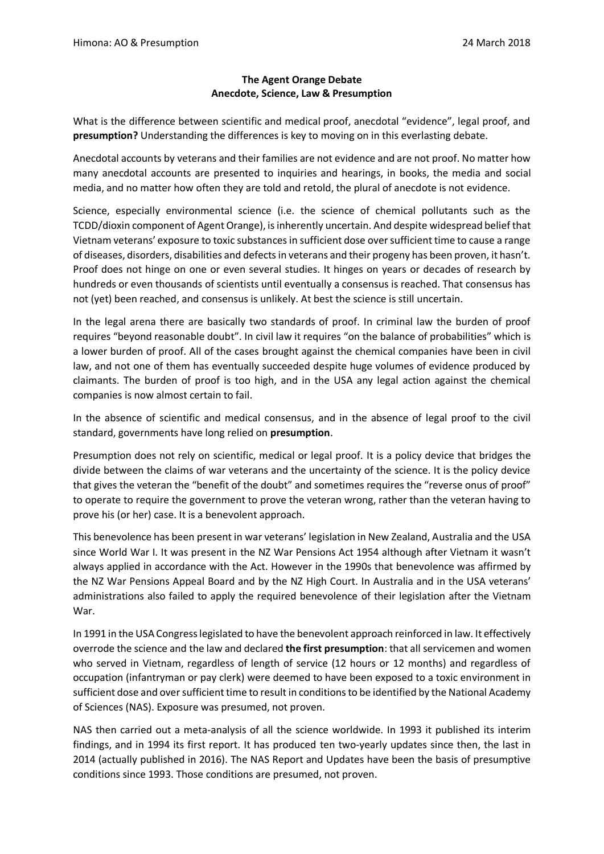## **The Agent Orange Debate Anecdote, Science, Law & Presumption**

What is the difference between scientific and medical proof, anecdotal "evidence", legal proof, and **presumption?** Understanding the differences is key to moving on in this everlasting debate.

Anecdotal accounts by veterans and their families are not evidence and are not proof. No matter how many anecdotal accounts are presented to inquiries and hearings, in books, the media and social media, and no matter how often they are told and retold, the plural of anecdote is not evidence.

Science, especially environmental science (i.e. the science of chemical pollutants such as the TCDD/dioxin component of Agent Orange), is inherently uncertain. And despite widespread belief that Vietnam veterans' exposure to toxic substances in sufficient dose over sufficient time to cause a range of diseases, disorders, disabilities and defects in veterans and their progeny has been proven, it hasn't. Proof does not hinge on one or even several studies. It hinges on years or decades of research by hundreds or even thousands of scientists until eventually a consensus is reached. That consensus has not (yet) been reached, and consensus is unlikely. At best the science is still uncertain.

In the legal arena there are basically two standards of proof. In criminal law the burden of proof requires "beyond reasonable doubt". In civil law it requires "on the balance of probabilities" which is a lower burden of proof. All of the cases brought against the chemical companies have been in civil law, and not one of them has eventually succeeded despite huge volumes of evidence produced by claimants. The burden of proof is too high, and in the USA any legal action against the chemical companies is now almost certain to fail.

In the absence of scientific and medical consensus, and in the absence of legal proof to the civil standard, governments have long relied on **presumption**.

Presumption does not rely on scientific, medical or legal proof. It is a policy device that bridges the divide between the claims of war veterans and the uncertainty of the science. It is the policy device that gives the veteran the "benefit of the doubt" and sometimes requires the "reverse onus of proof" to operate to require the government to prove the veteran wrong, rather than the veteran having to prove his (or her) case. It is a benevolent approach.

This benevolence has been present in war veterans' legislation in New Zealand, Australia and the USA since World War I. It was present in the NZ War Pensions Act 1954 although after Vietnam it wasn't always applied in accordance with the Act. However in the 1990s that benevolence was affirmed by the NZ War Pensions Appeal Board and by the NZ High Court. In Australia and in the USA veterans' administrations also failed to apply the required benevolence of their legislation after the Vietnam War.

In 1991 in the USA Congress legislated to have the benevolent approach reinforced in law. It effectively overrode the science and the law and declared **the first presumption**: that all servicemen and women who served in Vietnam, regardless of length of service (12 hours or 12 months) and regardless of occupation (infantryman or pay clerk) were deemed to have been exposed to a toxic environment in sufficient dose and over sufficient time to result in conditions to be identified by the National Academy of Sciences (NAS). Exposure was presumed, not proven.

NAS then carried out a meta-analysis of all the science worldwide. In 1993 it published its interim findings, and in 1994 its first report. It has produced ten two-yearly updates since then, the last in 2014 (actually published in 2016). The NAS Report and Updates have been the basis of presumptive conditions since 1993. Those conditions are presumed, not proven.